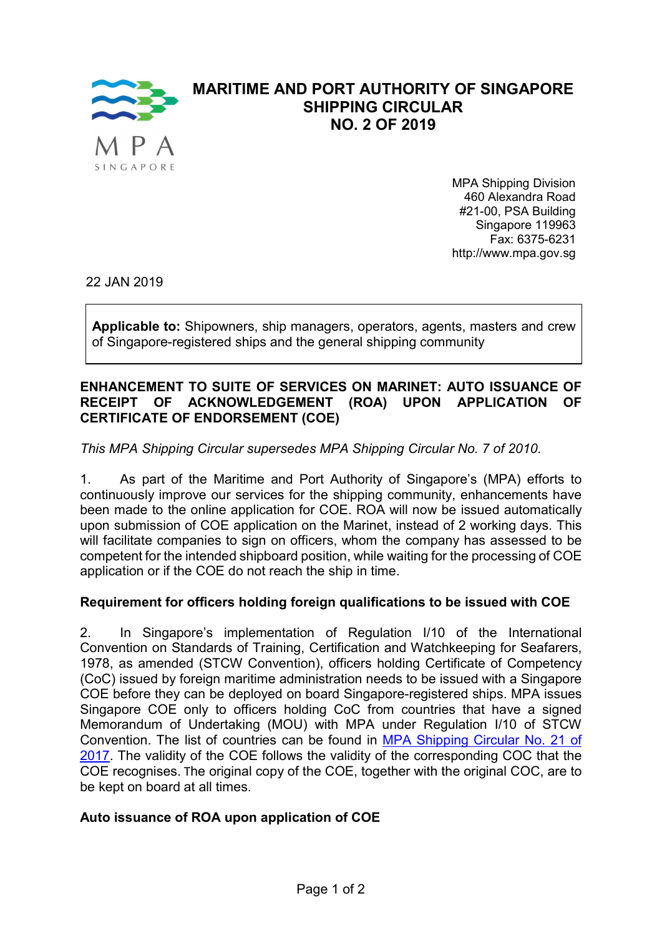

# MARITIME AND PORT AUTHORITY OF SINGAPORE SHIPPING CIRCULAR NO. 2 OF 2019

MPA Shipping Division 460 Alexandra Road #21-00, PSA Building Singapore 119963 Fax: 6375-6231 http://www.mpa.gov.sg

22 JAN 2019

Applicable to: Shipowners, ship managers, operators, agents, masters and crew of Singapore-registered ships and the general shipping community

### ENHANCEMENT TO SUITE OF SERVICES ON MARINET: AUTO ISSUANCE OF RECEIPT OF ACKNOWLEDGEMENT (ROA) UPON APPLICATION OF CERTIFICATE OF ENDORSEMENT (COE)

## This MPA Shipping Circular supersedes MPA Shipping Circular No. 7 of 2010.

1. As part of the Maritime and Port Authority of Singapore's (MPA) efforts to continuously improve our services for the shipping community, enhancements have been made to the online application for COE. ROA will now be issued automatically upon submission of COE application on the Marinet, instead of 2 working days. This will facilitate companies to sign on officers, whom the company has assessed to be competent for the intended shipboard position, while waiting for the processing of COE application or if the COE do not reach the ship in time.

## Requirement for officers holding foreign qualifications to be issued with COE

2. In Singapore's implementation of Regulation I/10 of the International Convention on Standards of Training, Certification and Watchkeeping for Seafarers, 1978, as amended (STCW Convention), officers holding Certificate of Competency (CoC) issued by foreign maritime administration needs to be issued with a Singapore COE before they can be deployed on board Singapore-registered ships. MPA issues Singapore COE only to officers holding CoC from countries that have a signed Memorandum of Undertaking (MOU) with MPA under Regulation I/10 of STCW Convention. The list of countries can be found in MPA Shipping Circular No. 21 of 2017. The validity of the COE follows the validity of the corresponding COC that the COE recognises. The original copy of the COE, together with the original COC, are to be kept on board at all times.

### Auto issuance of ROA upon application of COE